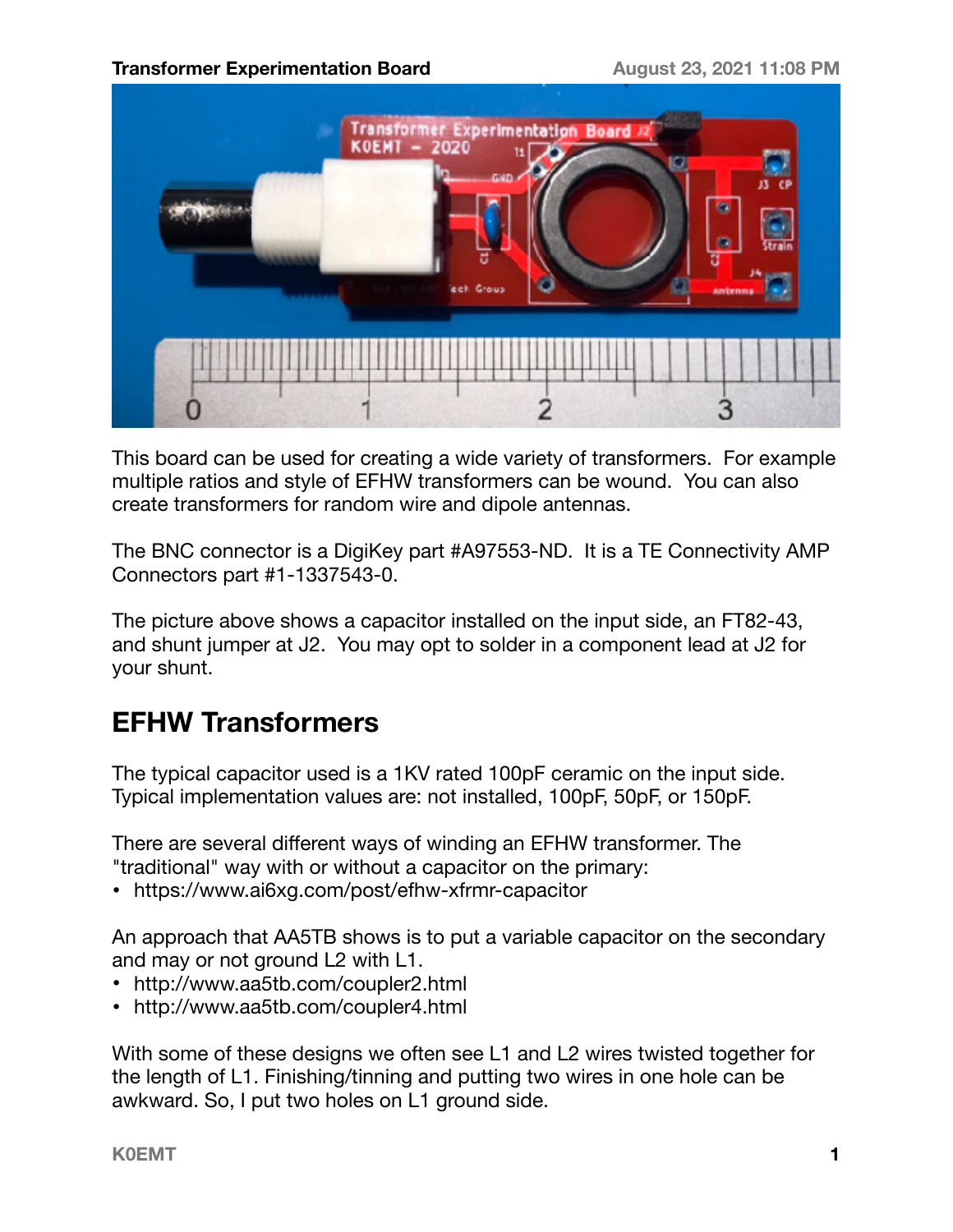

This board can be used for creating a wide variety of transformers. For example multiple ratios and style of EFHW transformers can be wound. You can also create transformers for random wire and dipole antennas.

The BNC connector is a DigiKey part #A97553-ND. It is a TE Connectivity AMP Connectors part #1-1337543-0.

The picture above shows a capacitor installed on the input side, an FT82-43, and shunt jumper at J2. You may opt to solder in a component lead at J2 for your shunt.

# **EFHW Transformers**

The typical capacitor used is a 1KV rated 100pF ceramic on the input side. Typical implementation values are: not installed, 100pF, 50pF, or 150pF.

There are several different ways of winding an EFHW transformer. The "traditional" way with or without a capacitor on the primary:

• [https://www.ai6xg.com/post/efhw-xfrmr-capacitor](https://www.ai6xg.com/post/efhw-xfrmr-capacitor?fbclid=IwAR2etDCBGaTUws8klhNfVVh77aCjyyGbKbCFvxBxx0zRBMUKqTqw1e9ATGs)

An approach that AA5TB shows is to put a variable capacitor on the secondary and may or not ground L2 with L1.

- [http://www.aa5tb.com/coupler2.html](http://www.aa5tb.com/coupler2.html?fbclid=IwAR2ajB--vZR5EgmYK-rccUUUwIe69tOyhfAt9-E8vA26lSVC5CZ4n4CPKnw)
- [http://www.aa5tb.com/coupler4.html](http://www.aa5tb.com/coupler4.html?fbclid=IwAR3eHsIvpKWSGMp1GOM2n1ED_objOUbnIYl9n5mvJOKG9oJDXFMqCORmSmQ)

With some of these designs we often see L1 and L2 wires twisted together for the length of L1. Finishing/tinning and putting two wires in one hole can be awkward. So, I put two holes on L1 ground side.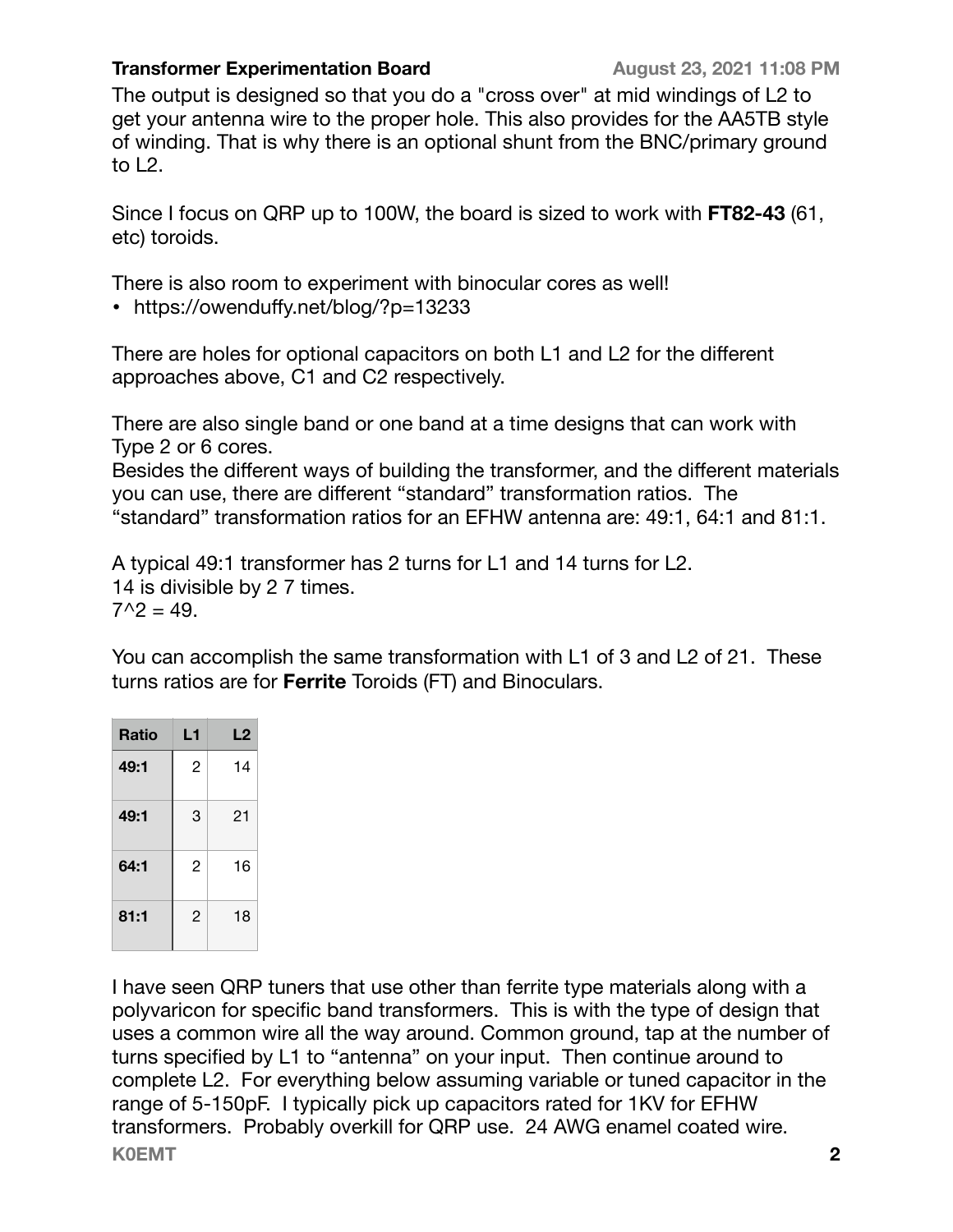#### **Transformer Experimentation Board August 23, 2021 11:08 PM**

The output is designed so that you do a "cross over" at mid windings of L2 to get your antenna wire to the proper hole. This also provides for the AA5TB style of winding. That is why there is an optional shunt from the BNC/primary ground to L2.

Since I focus on QRP up to 100W, the board is sized to work with **FT82-43** (61, etc) toroids.

There is also room to experiment with binocular cores as well!

• https://owenduff[y.net/blog/?p=13233](https://owenduffy.net/blog/?p=13233&fbclid=IwAR2XwhVs1t_Wn3O1YCe7C5bzXWC5GpscVo1EuPMnnDkJ28w2KAutoBJw6O0)

There are holes for optional capacitors on both L1 and L2 for the different approaches above, C1 and C2 respectively.

There are also single band or one band at a time designs that can work with Type 2 or 6 cores.

Besides the different ways of building the transformer, and the different materials you can use, there are different "standard" transformation ratios. The "standard" transformation ratios for an EFHW antenna are: 49:1, 64:1 and 81:1.

A typical 49:1 transformer has 2 turns for L1 and 14 turns for L2. 14 is divisible by 2 7 times.  $7^2 = 49$ .

You can accomplish the same transformation with L1 of 3 and L2 of 21. These turns ratios are for **Ferrite** Toroids (FT) and Binoculars.

| <b>Ratio</b> | L1             | L2 |
|--------------|----------------|----|
| 49:1         | $\overline{2}$ | 14 |
| 49:1         | 3              | 21 |
| 64:1         | $\mathcal{P}$  | 16 |
| 81:1         | 2              | 18 |

I have seen QRP tuners that use other than ferrite type materials along with a polyvaricon for specific band transformers. This is with the type of design that uses a common wire all the way around. Common ground, tap at the number of turns specified by L1 to "antenna" on your input. Then continue around to complete L2. For everything below assuming variable or tuned capacitor in the range of 5-150pF. I typically pick up capacitors rated for 1KV for EFHW transformers. Probably overkill for QRP use. 24 AWG enamel coated wire. **K0EMT 2**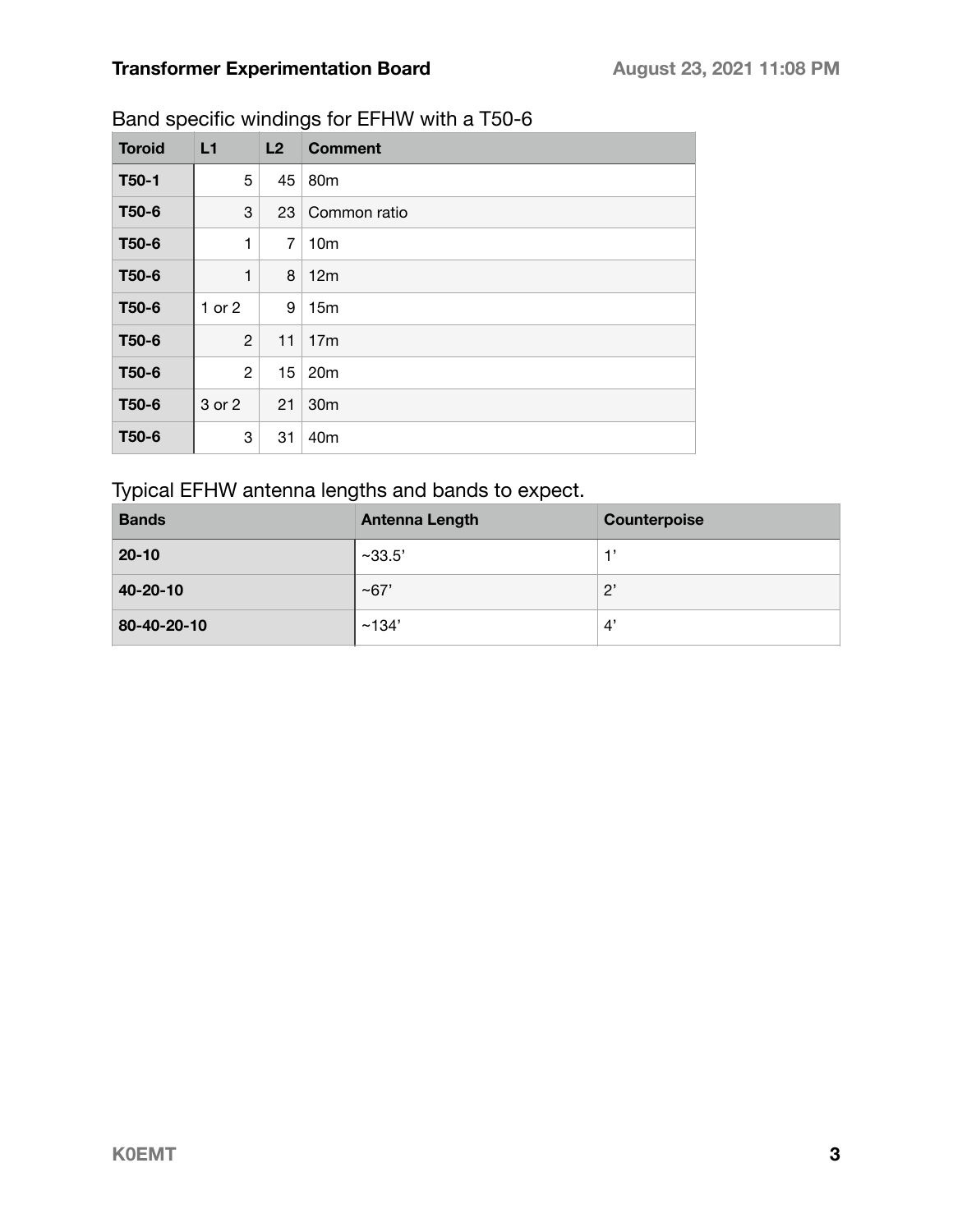| <b>Toroid</b>      | L1           | L2             | <b>Comment</b>  |
|--------------------|--------------|----------------|-----------------|
| T <sub>50</sub> -1 | 5            | 45             | 80 <sub>m</sub> |
| T <sub>50</sub> -6 | 3            | 23             | Common ratio    |
| T50-6              | 1            | $\overline{7}$ | 10 <sub>m</sub> |
| T50-6              | 1            | 8              | 12m             |
| T <sub>50</sub> -6 | 1 or 2       | 9              | 15 <sub>m</sub> |
| T50-6              | $\mathbf{2}$ | 11             | 17 <sub>m</sub> |
| T50-6              | $\mathbf{2}$ | 15             | 20 <sub>m</sub> |
| T50-6              | 3 or 2       | 21             | 30m             |
| T50-6              | 3            | 31             | 40 <sub>m</sub> |

### Band specific windings for EFHW with a T50-6

### Typical EFHW antenna lengths and bands to expect.

| <b>Bands</b> | <b>Antenna Length</b> | Counterpoise           |
|--------------|-----------------------|------------------------|
| $20 - 10$    | ~233.5'               |                        |
| 40-20-10     | $~10^{-6}$            | $2^{\prime}$           |
| 80-40-20-10  | ~134'                 | $\mathcal{A}^{\prime}$ |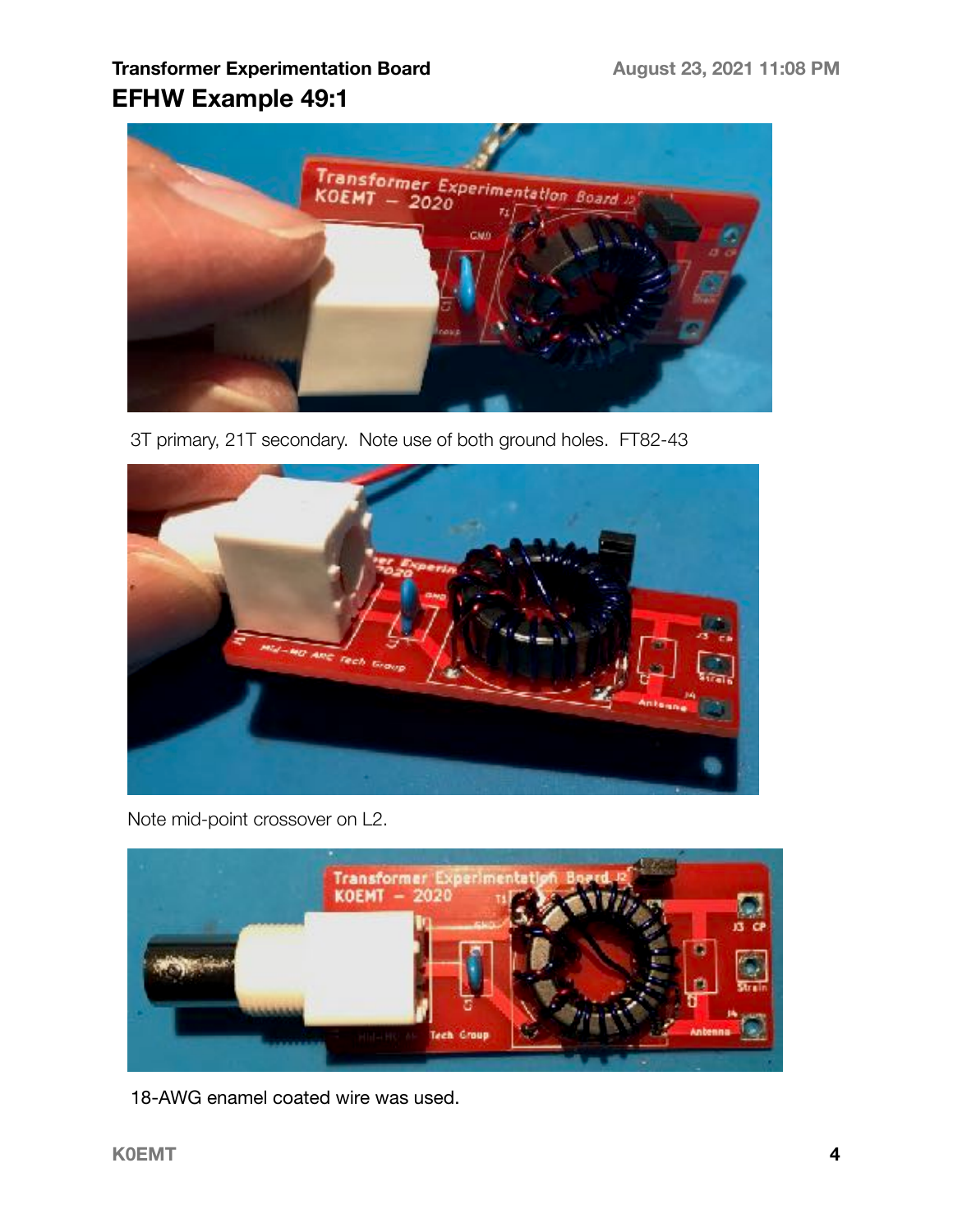## **Transformer Experimentation Board August 23, 2021 11:08 PM EFHW Example 49:1**



3T primary, 21T secondary. Note use of both ground holes. FT82-43



Note mid-point crossover on L2.



18-AWG enamel coated wire was used.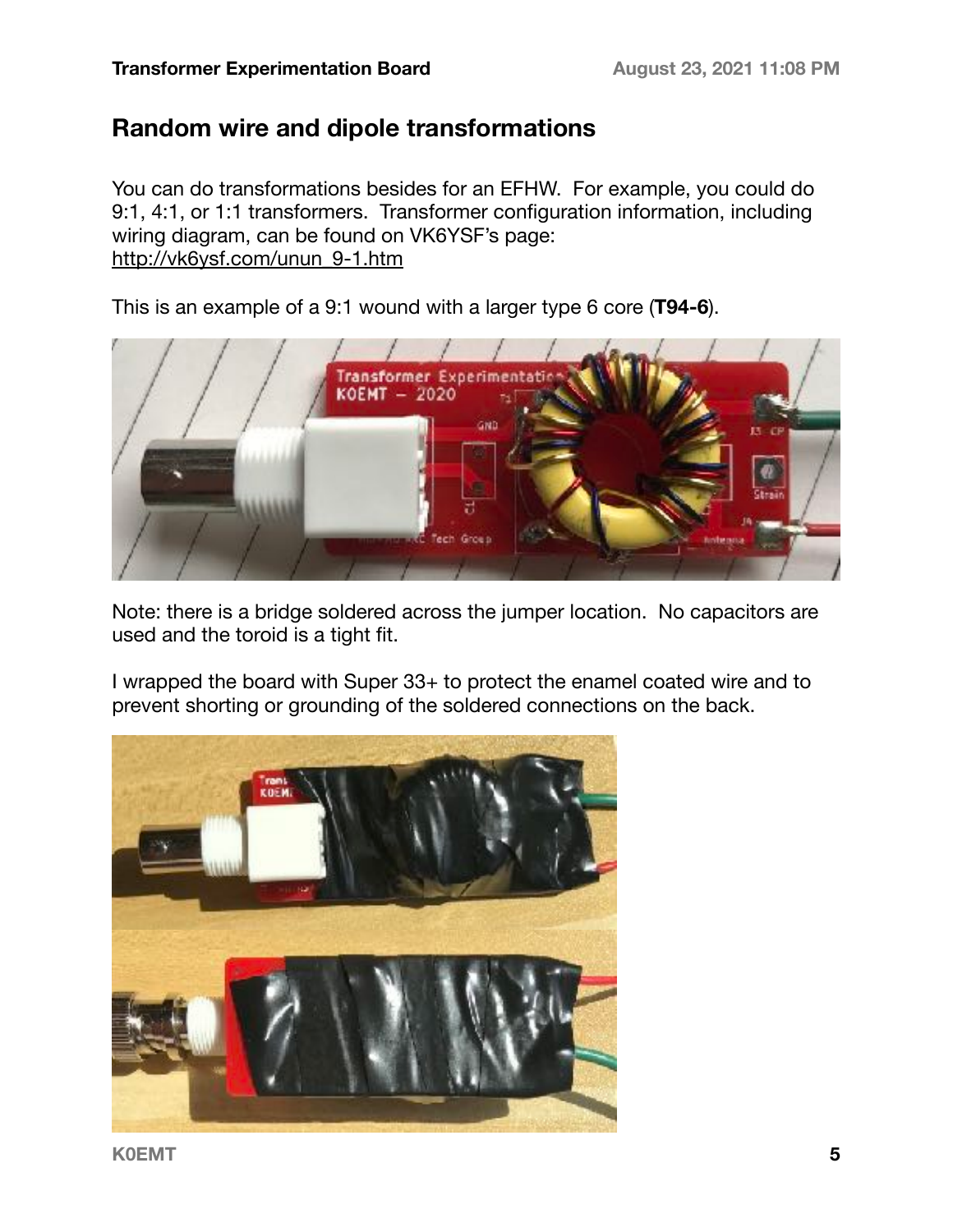## **Random wire and dipole transformations**

You can do transformations besides for an EFHW. For example, you could do 9:1, 4:1, or 1:1 transformers. Transformer configuration information, including wiring diagram, can be found on VK6YSF's page: [http://vk6ysf.com/unun\\_9-1.htm](http://vk6ysf.com/unun_9-1.htm)

This is an example of a 9:1 wound with a larger type 6 core (**T94-6**).



Note: there is a bridge soldered across the jumper location. No capacitors are used and the toroid is a tight fit.

I wrapped the board with Super 33+ to protect the enamel coated wire and to prevent shorting or grounding of the soldered connections on the back.



**K0EMT 5**